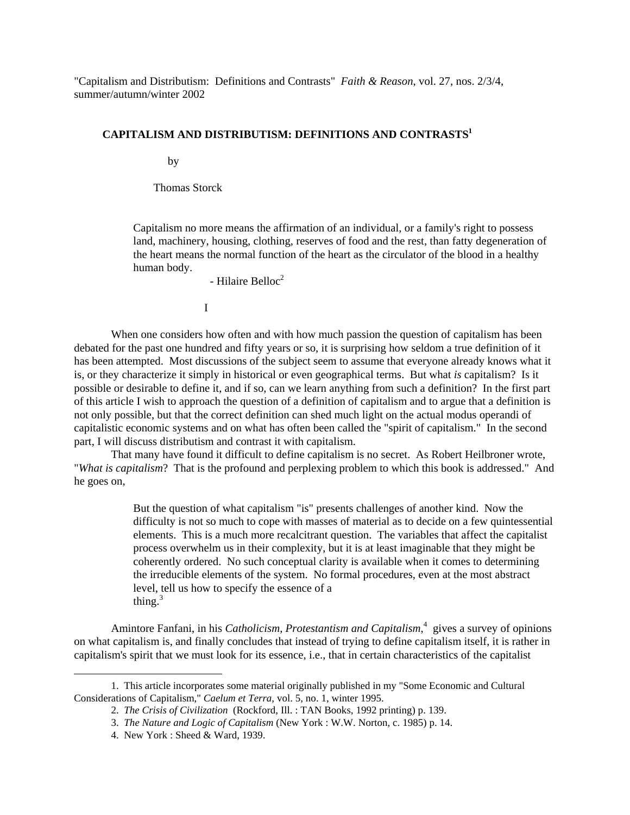"Capitalism and Distributism: Definitions and Contrasts" *Faith & Reason*, vol. 27, nos. 2/3/4, summer/autumn/winter 2002

# **CAPITALISM AND DISTRIBUTISM: DEFINITIONS AND CONTRASTS1**

by

Thomas Storck

Capitalism no more means the affirmation of an individual, or a family's right to possess land, machinery, housing, clothing, reserves of food and the rest, than fatty degeneration of the heart means the normal function of the heart as the circulator of the blood in a healthy human body.

- Hilaire Belloc<sup>2</sup>

I

 When one considers how often and with how much passion the question of capitalism has been debated for the past one hundred and fifty years or so, it is surprising how seldom a true definition of it has been attempted. Most discussions of the subject seem to assume that everyone already knows what it is, or they characterize it simply in historical or even geographical terms. But what *is* capitalism? Is it possible or desirable to define it, and if so, can we learn anything from such a definition? In the first part of this article I wish to approach the question of a definition of capitalism and to argue that a definition is not only possible, but that the correct definition can shed much light on the actual modus operandi of capitalistic economic systems and on what has often been called the "spirit of capitalism." In the second part, I will discuss distributism and contrast it with capitalism.

 That many have found it difficult to define capitalism is no secret. As Robert Heilbroner wrote, "*What is capitalism*? That is the profound and perplexing problem to which this book is addressed." And he goes on,

> But the question of what capitalism "is" presents challenges of another kind. Now the difficulty is not so much to cope with masses of material as to decide on a few quintessential elements. This is a much more recalcitrant question. The variables that affect the capitalist process overwhelm us in their complexity, but it is at least imaginable that they might be coherently ordered. No such conceptual clarity is available when it comes to determining the irreducible elements of the system. No formal procedures, even at the most abstract level, tell us how to specify the essence of a thing. $3$

Amintore Fanfani, in his *Catholicism, Protestantism and Capitalism*<sup>4</sup>, gives a survey of opinions on what capitalism is, and finally concludes that instead of trying to define capitalism itself, it is rather in capitalism's spirit that we must look for its essence, i.e., that in certain characteristics of the capitalist

 <sup>1.</sup> This article incorporates some material originally published in my "Some Economic and Cultural Considerations of Capitalism," *Caelum et Terra*, vol. 5, no. 1, winter 1995.

 <sup>2.</sup> *The Crisis of Civilization* (Rockford, Ill. : TAN Books, 1992 printing) p. 139.

 <sup>3.</sup> *The Nature and Logic of Capitalism* (New York : W.W. Norton, c. 1985) p. 14.

 <sup>4.</sup> New York : Sheed & Ward, 1939.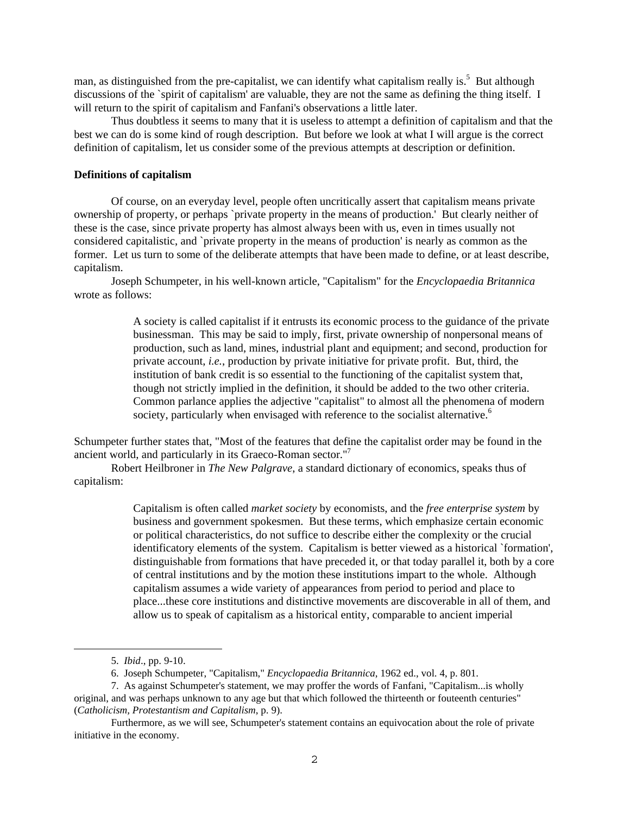man, as distinguished from the pre-capitalist, we can identify what capitalism really is.<sup>5</sup> But although discussions of the `spirit of capitalism' are valuable, they are not the same as defining the thing itself. I will return to the spirit of capitalism and Fanfani's observations a little later.

 Thus doubtless it seems to many that it is useless to attempt a definition of capitalism and that the best we can do is some kind of rough description. But before we look at what I will argue is the correct definition of capitalism, let us consider some of the previous attempts at description or definition.

### **Definitions of capitalism**

 Of course, on an everyday level, people often uncritically assert that capitalism means private ownership of property, or perhaps `private property in the means of production.' But clearly neither of these is the case, since private property has almost always been with us, even in times usually not considered capitalistic, and `private property in the means of production' is nearly as common as the former. Let us turn to some of the deliberate attempts that have been made to define, or at least describe, capitalism.

 Joseph Schumpeter, in his well-known article, "Capitalism" for the *Encyclopaedia Britannica* wrote as follows:

> A society is called capitalist if it entrusts its economic process to the guidance of the private businessman. This may be said to imply, first, private ownership of nonpersonal means of production, such as land, mines, industrial plant and equipment; and second, production for private account, *i.e.*, production by private initiative for private profit. But, third, the institution of bank credit is so essential to the functioning of the capitalist system that, though not strictly implied in the definition, it should be added to the two other criteria. Common parlance applies the adjective "capitalist" to almost all the phenomena of modern society, particularly when envisaged with reference to the socialist alternative.<sup>6</sup>

Schumpeter further states that, "Most of the features that define the capitalist order may be found in the ancient world, and particularly in its Graeco-Roman sector."7

 Robert Heilbroner in *The New Palgrave*, a standard dictionary of economics, speaks thus of capitalism:

> Capitalism is often called *market society* by economists, and the *free enterprise system* by business and government spokesmen. But these terms, which emphasize certain economic or political characteristics, do not suffice to describe either the complexity or the crucial identificatory elements of the system. Capitalism is better viewed as a historical `formation', distinguishable from formations that have preceded it, or that today parallel it, both by a core of central institutions and by the motion these institutions impart to the whole. Although capitalism assumes a wide variety of appearances from period to period and place to place...these core institutions and distinctive movements are discoverable in all of them, and allow us to speak of capitalism as a historical entity, comparable to ancient imperial

 <sup>5.</sup> *Ibid*., pp. 9-10.

 <sup>6.</sup> Joseph Schumpeter, "Capitalism," *Encyclopaedia Britannica*, 1962 ed., vol. 4, p. 801.

 <sup>7.</sup> As against Schumpeter's statement, we may proffer the words of Fanfani, "Capitalism...is wholly original, and was perhaps unknown to any age but that which followed the thirteenth or fouteenth centuries" (*Catholicism, Protestantism and Capitalism*, p. 9).

Furthermore, as we will see, Schumpeter's statement contains an equivocation about the role of private initiative in the economy.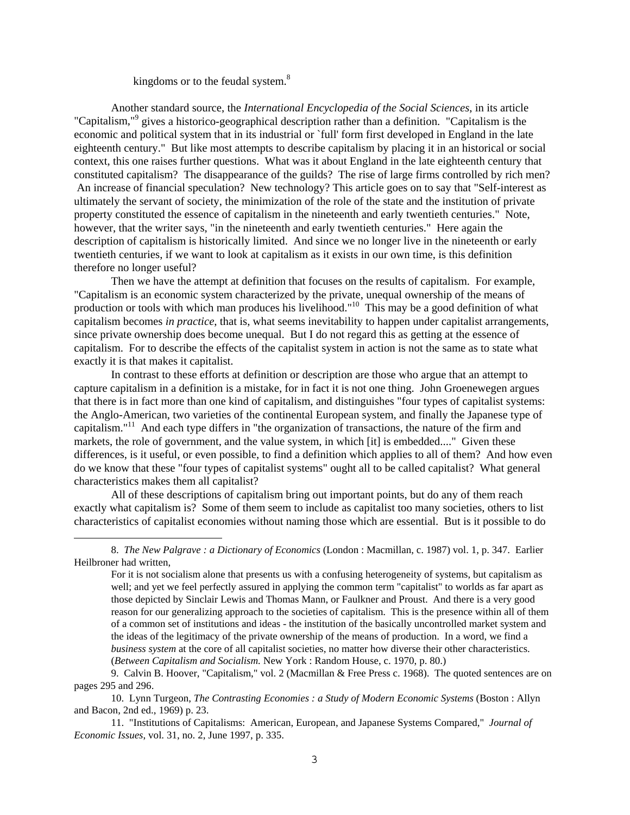kingdoms or to the feudal system.<sup>8</sup>

 Another standard source, the *International Encyclopedia of the Social Sciences*, in its article "Capitalism,"<sup>9</sup> gives a historico-geographical description rather than a definition. "Capitalism is the economic and political system that in its industrial or `full' form first developed in England in the late eighteenth century." But like most attempts to describe capitalism by placing it in an historical or social context, this one raises further questions. What was it about England in the late eighteenth century that constituted capitalism? The disappearance of the guilds? The rise of large firms controlled by rich men? An increase of financial speculation? New technology? This article goes on to say that "Self-interest as ultimately the servant of society, the minimization of the role of the state and the institution of private property constituted the essence of capitalism in the nineteenth and early twentieth centuries." Note, however, that the writer says, "in the nineteenth and early twentieth centuries." Here again the description of capitalism is historically limited. And since we no longer live in the nineteenth or early twentieth centuries, if we want to look at capitalism as it exists in our own time, is this definition therefore no longer useful?

 Then we have the attempt at definition that focuses on the results of capitalism. For example, "Capitalism is an economic system characterized by the private, unequal ownership of the means of production or tools with which man produces his livelihood."<sup>10</sup> This may be a good definition of what capitalism becomes *in practice*, that is, what seems inevitability to happen under capitalist arrangements, since private ownership does become unequal. But I do not regard this as getting at the essence of capitalism. For to describe the effects of the capitalist system in action is not the same as to state what exactly it is that makes it capitalist.

 In contrast to these efforts at definition or description are those who argue that an attempt to capture capitalism in a definition is a mistake, for in fact it is not one thing. John Groenewegen argues that there is in fact more than one kind of capitalism, and distinguishes "four types of capitalist systems: the Anglo-American, two varieties of the continental European system, and finally the Japanese type of capitalism. $"^{11}$  And each type differs in "the organization of transactions, the nature of the firm and markets, the role of government, and the value system, in which [it] is embedded...." Given these differences, is it useful, or even possible, to find a definition which applies to all of them? And how even do we know that these "four types of capitalist systems" ought all to be called capitalist? What general characteristics makes them all capitalist?

 All of these descriptions of capitalism bring out important points, but do any of them reach exactly what capitalism is? Some of them seem to include as capitalist too many societies, others to list characteristics of capitalist economies without naming those which are essential. But is it possible to do

 <sup>8.</sup> *The New Palgrave : a Dictionary of Economics* (London : Macmillan, c. 1987) vol. 1, p. 347. Earlier Heilbroner had written,

For it is not socialism alone that presents us with a confusing heterogeneity of systems, but capitalism as well; and yet we feel perfectly assured in applying the common term "capitalist" to worlds as far apart as those depicted by Sinclair Lewis and Thomas Mann, or Faulkner and Proust. And there is a very good reason for our generalizing approach to the societies of capitalism. This is the presence within all of them of a common set of institutions and ideas - the institution of the basically uncontrolled market system and the ideas of the legitimacy of the private ownership of the means of production. In a word, we find a *business system* at the core of all capitalist societies, no matter how diverse their other characteristics. (*Between Capitalism and Socialism.* New York : Random House, c. 1970, p. 80.)

 <sup>9.</sup> Calvin B. Hoover, "Capitalism," vol. 2 (Macmillan & Free Press c. 1968). The quoted sentences are on pages 295 and 296.

 <sup>10.</sup> Lynn Turgeon, *The Contrasting Economies : a Study of Modern Economic Systems* (Boston : Allyn and Bacon, 2nd ed., 1969) p. 23.

 <sup>11. &</sup>quot;Institutions of Capitalisms: American, European, and Japanese Systems Compared," *Journal of Economic Issues*, vol. 31, no. 2, June 1997, p. 335.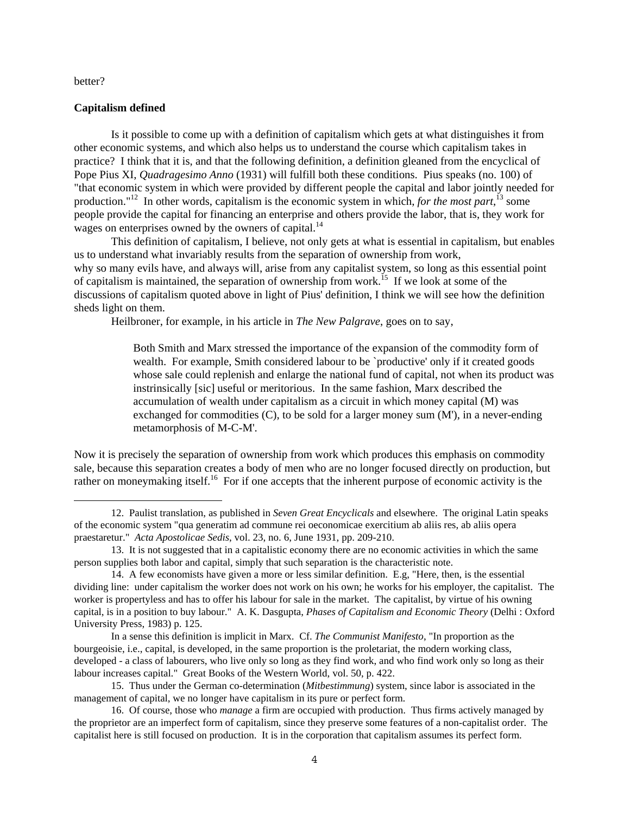better?

### **Capitalism defined**

 Is it possible to come up with a definition of capitalism which gets at what distinguishes it from other economic systems, and which also helps us to understand the course which capitalism takes in practice? I think that it is, and that the following definition, a definition gleaned from the encyclical of Pope Pius XI, *Quadragesimo Anno* (1931) will fulfill both these conditions. Pius speaks (no. 100) of "that economic system in which were provided by different people the capital and labor jointly needed for production."12 In other words, capitalism is the economic system in which, *for the most part*, 13 some people provide the capital for financing an enterprise and others provide the labor, that is, they work for wages on enterprises owned by the owners of capital.<sup>14</sup>

 This definition of capitalism, I believe, not only gets at what is essential in capitalism, but enables us to understand what invariably results from the separation of ownership from work, why so many evils have, and always will, arise from any capitalist system, so long as this essential point of capitalism is maintained, the separation of ownership from work.<sup>15</sup> If we look at some of the discussions of capitalism quoted above in light of Pius' definition, I think we will see how the definition sheds light on them.

Heilbroner, for example, in his article in *The New Palgrave*, goes on to say,

Both Smith and Marx stressed the importance of the expansion of the commodity form of wealth. For example, Smith considered labour to be `productive' only if it created goods whose sale could replenish and enlarge the national fund of capital, not when its product was instrinsically [sic] useful or meritorious. In the same fashion, Marx described the accumulation of wealth under capitalism as a circuit in which money capital (M) was exchanged for commodities  $(C)$ , to be sold for a larger money sum  $(M')$ , in a never-ending metamorphosis of M-C-M'.

Now it is precisely the separation of ownership from work which produces this emphasis on commodity sale, because this separation creates a body of men who are no longer focused directly on production, but rather on moneymaking itself.<sup>16</sup> For if one accepts that the inherent purpose of economic activity is the

 <sup>12.</sup> Paulist translation, as published in *Seven Great Encyclicals* and elsewhere. The original Latin speaks of the economic system "qua generatim ad commune rei oeconomicae exercitium ab aliis res, ab aliis opera praestaretur." *Acta Apostolicae Sedis*, vol. 23, no. 6, June 1931, pp. 209-210.

 <sup>13.</sup> It is not suggested that in a capitalistic economy there are no economic activities in which the same person supplies both labor and capital, simply that such separation is the characteristic note.

 <sup>14.</sup> A few economists have given a more or less similar definition. E.g, "Here, then, is the essential dividing line: under capitalism the worker does not work on his own; he works for his employer, the capitalist. The worker is propertyless and has to offer his labour for sale in the market. The capitalist, by virtue of his owning capital, is in a position to buy labour." A. K. Dasgupta, *Phases of Capitalism and Economic Theory* (Delhi : Oxford University Press, 1983) p. 125.

In a sense this definition is implicit in Marx. Cf. *The Communist Manifesto*, "In proportion as the bourgeoisie, i.e., capital, is developed, in the same proportion is the proletariat, the modern working class, developed - a class of labourers, who live only so long as they find work, and who find work only so long as their labour increases capital." Great Books of the Western World, vol. 50, p. 422.

 <sup>15.</sup> Thus under the German co-determination (*Mitbestimmung*) system, since labor is associated in the management of capital, we no longer have capitalism in its pure or perfect form.

 <sup>16.</sup> Of course, those who *manage* a firm are occupied with production. Thus firms actively managed by the proprietor are an imperfect form of capitalism, since they preserve some features of a non-capitalist order. The capitalist here is still focused on production. It is in the corporation that capitalism assumes its perfect form.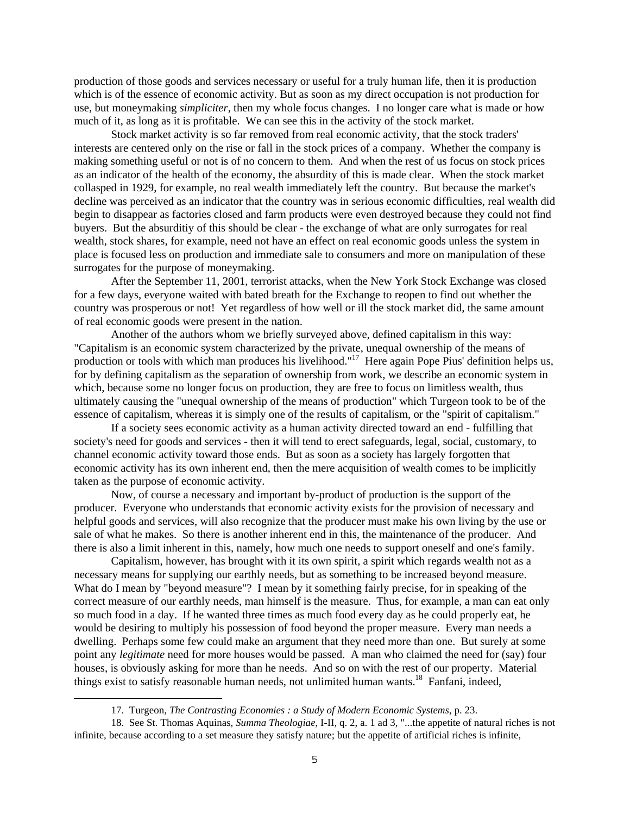production of those goods and services necessary or useful for a truly human life, then it is production which is of the essence of economic activity. But as soon as my direct occupation is not production for use, but moneymaking *simpliciter*, then my whole focus changes. I no longer care what is made or how much of it, as long as it is profitable. We can see this in the activity of the stock market.

 Stock market activity is so far removed from real economic activity, that the stock traders' interests are centered only on the rise or fall in the stock prices of a company. Whether the company is making something useful or not is of no concern to them. And when the rest of us focus on stock prices as an indicator of the health of the economy, the absurdity of this is made clear. When the stock market collasped in 1929, for example, no real wealth immediately left the country. But because the market's decline was perceived as an indicator that the country was in serious economic difficulties, real wealth did begin to disappear as factories closed and farm products were even destroyed because they could not find buyers. But the absurditiy of this should be clear - the exchange of what are only surrogates for real wealth, stock shares, for example, need not have an effect on real economic goods unless the system in place is focused less on production and immediate sale to consumers and more on manipulation of these surrogates for the purpose of moneymaking.

 After the September 11, 2001, terrorist attacks, when the New York Stock Exchange was closed for a few days, everyone waited with bated breath for the Exchange to reopen to find out whether the country was prosperous or not! Yet regardless of how well or ill the stock market did, the same amount of real economic goods were present in the nation.

 Another of the authors whom we briefly surveyed above, defined capitalism in this way: "Capitalism is an economic system characterized by the private, unequal ownership of the means of production or tools with which man produces his livelihood."17 Here again Pope Pius' definition helps us, for by defining capitalism as the separation of ownership from work, we describe an economic system in which, because some no longer focus on production, they are free to focus on limitless wealth, thus ultimately causing the "unequal ownership of the means of production" which Turgeon took to be of the essence of capitalism, whereas it is simply one of the results of capitalism, or the "spirit of capitalism."

 If a society sees economic activity as a human activity directed toward an end - fulfilling that society's need for goods and services - then it will tend to erect safeguards, legal, social, customary, to channel economic activity toward those ends. But as soon as a society has largely forgotten that economic activity has its own inherent end, then the mere acquisition of wealth comes to be implicitly taken as the purpose of economic activity.

 Now, of course a necessary and important by-product of production is the support of the producer. Everyone who understands that economic activity exists for the provision of necessary and helpful goods and services, will also recognize that the producer must make his own living by the use or sale of what he makes. So there is another inherent end in this, the maintenance of the producer. And there is also a limit inherent in this, namely, how much one needs to support oneself and one's family.

 Capitalism, however, has brought with it its own spirit, a spirit which regards wealth not as a necessary means for supplying our earthly needs, but as something to be increased beyond measure. What do I mean by "beyond measure"? I mean by it something fairly precise, for in speaking of the correct measure of our earthly needs, man himself is the measure. Thus, for example, a man can eat only so much food in a day. If he wanted three times as much food every day as he could properly eat, he would be desiring to multiply his possession of food beyond the proper measure. Every man needs a dwelling. Perhaps some few could make an argument that they need more than one. But surely at some point any *legitimate* need for more houses would be passed. A man who claimed the need for (say) four houses, is obviously asking for more than he needs. And so on with the rest of our property. Material things exist to satisfy reasonable human needs, not unlimited human wants.<sup>18</sup> Fanfani, indeed,

 <sup>17.</sup> Turgeon, *The Contrasting Economies : a Study of Modern Economic Systems*, p. 23.

 <sup>18.</sup> See St. Thomas Aquinas, *Summa Theologiae*, I-II, q. 2, a. 1 ad 3, "...the appetite of natural riches is not infinite, because according to a set measure they satisfy nature; but the appetite of artificial riches is infinite,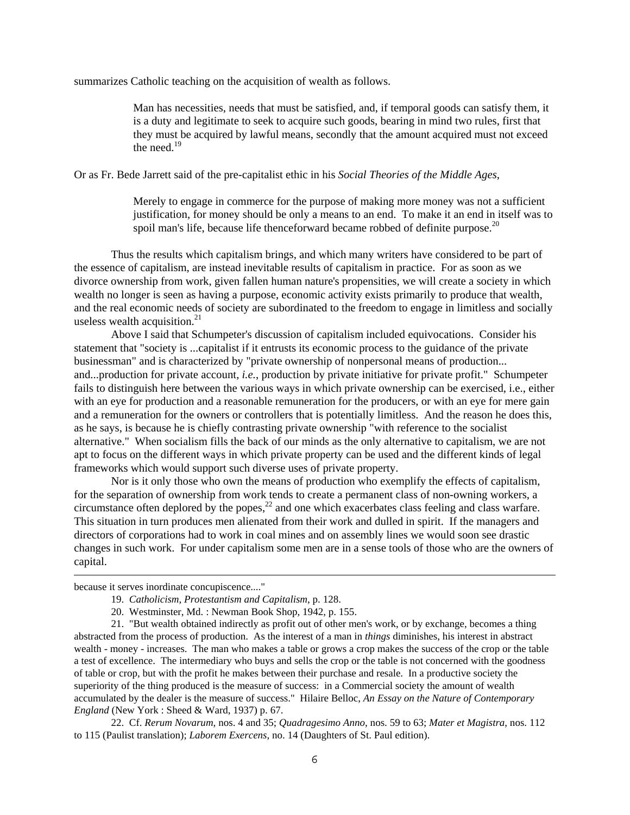summarizes Catholic teaching on the acquisition of wealth as follows.

Man has necessities, needs that must be satisfied, and, if temporal goods can satisfy them, it is a duty and legitimate to seek to acquire such goods, bearing in mind two rules, first that they must be acquired by lawful means, secondly that the amount acquired must not exceed the need  $19$ 

Or as Fr. Bede Jarrett said of the pre-capitalist ethic in his *Social Theories of the Middle Ages*,

Merely to engage in commerce for the purpose of making more money was not a sufficient justification, for money should be only a means to an end. To make it an end in itself was to spoil man's life, because life thenceforward became robbed of definite purpose. $^{20}$ 

 Thus the results which capitalism brings, and which many writers have considered to be part of the essence of capitalism, are instead inevitable results of capitalism in practice. For as soon as we divorce ownership from work, given fallen human nature's propensities, we will create a society in which wealth no longer is seen as having a purpose, economic activity exists primarily to produce that wealth, and the real economic needs of society are subordinated to the freedom to engage in limitless and socially useless wealth acquisition. $^{21}$ 

 Above I said that Schumpeter's discussion of capitalism included equivocations. Consider his statement that "society is ...capitalist if it entrusts its economic process to the guidance of the private businessman" and is characterized by "private ownership of nonpersonal means of production... and...production for private account, *i.e.*, production by private initiative for private profit." Schumpeter fails to distinguish here between the various ways in which private ownership can be exercised, i.e., either with an eye for production and a reasonable remuneration for the producers, or with an eye for mere gain and a remuneration for the owners or controllers that is potentially limitless. And the reason he does this, as he says, is because he is chiefly contrasting private ownership "with reference to the socialist alternative." When socialism fills the back of our minds as the only alternative to capitalism, we are not apt to focus on the different ways in which private property can be used and the different kinds of legal frameworks which would support such diverse uses of private property.

 Nor is it only those who own the means of production who exemplify the effects of capitalism, for the separation of ownership from work tends to create a permanent class of non-owning workers, a circumstance often deplored by the popes,<sup>22</sup> and one which exacerbates class feeling and class warfare. This situation in turn produces men alienated from their work and dulled in spirit. If the managers and directors of corporations had to work in coal mines and on assembly lines we would soon see drastic changes in such work. For under capitalism some men are in a sense tools of those who are the owners of capital.

because it serves inordinate concupiscence...."

- 19. *Catholicism, Protestantism and Capitalism*, p. 128.
- 20. Westminster, Md. : Newman Book Shop, 1942, p. 155.

 21. "But wealth obtained indirectly as profit out of other men's work, or by exchange, becomes a thing abstracted from the process of production. As the interest of a man in *things* diminishes, his interest in abstract wealth - money - increases. The man who makes a table or grows a crop makes the success of the crop or the table a test of excellence. The intermediary who buys and sells the crop or the table is not concerned with the goodness of table or crop, but with the profit he makes between their purchase and resale. In a productive society the superiority of the thing produced is the measure of success: in a Commercial society the amount of wealth accumulated by the dealer is the measure of success." Hilaire Belloc, *An Essay on the Nature of Contemporary England* (New York : Sheed & Ward, 1937) p. 67.

 22. Cf. *Rerum Novarum*, nos. 4 and 35; *Quadragesimo Anno*, nos. 59 to 63; *Mater et Magistra*, nos. 112 to 115 (Paulist translation); *Laborem Exercens*, no. 14 (Daughters of St. Paul edition).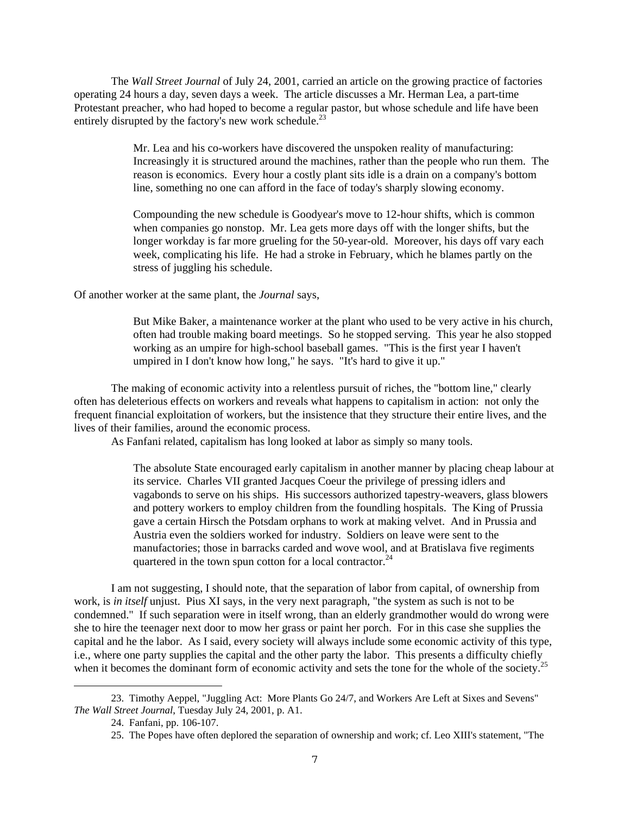The *Wall Street Journal* of July 24, 2001, carried an article on the growing practice of factories operating 24 hours a day, seven days a week. The article discusses a Mr. Herman Lea, a part-time Protestant preacher, who had hoped to become a regular pastor, but whose schedule and life have been entirely disrupted by the factory's new work schedule.<sup>23</sup>

> Mr. Lea and his co-workers have discovered the unspoken reality of manufacturing: Increasingly it is structured around the machines, rather than the people who run them. The reason is economics. Every hour a costly plant sits idle is a drain on a company's bottom line, something no one can afford in the face of today's sharply slowing economy.

Compounding the new schedule is Goodyear's move to 12-hour shifts, which is common when companies go nonstop. Mr. Lea gets more days off with the longer shifts, but the longer workday is far more grueling for the 50-year-old. Moreover, his days off vary each week, complicating his life. He had a stroke in February, which he blames partly on the stress of juggling his schedule.

Of another worker at the same plant, the *Journal* says,

But Mike Baker, a maintenance worker at the plant who used to be very active in his church, often had trouble making board meetings. So he stopped serving. This year he also stopped working as an umpire for high-school baseball games. "This is the first year I haven't umpired in I don't know how long," he says. "It's hard to give it up."

 The making of economic activity into a relentless pursuit of riches, the "bottom line," clearly often has deleterious effects on workers and reveals what happens to capitalism in action: not only the frequent financial exploitation of workers, but the insistence that they structure their entire lives, and the lives of their families, around the economic process.

As Fanfani related, capitalism has long looked at labor as simply so many tools.

The absolute State encouraged early capitalism in another manner by placing cheap labour at its service. Charles VII granted Jacques Coeur the privilege of pressing idlers and vagabonds to serve on his ships. His successors authorized tapestry-weavers, glass blowers and pottery workers to employ children from the foundling hospitals. The King of Prussia gave a certain Hirsch the Potsdam orphans to work at making velvet. And in Prussia and Austria even the soldiers worked for industry. Soldiers on leave were sent to the manufactories; those in barracks carded and wove wool, and at Bratislava five regiments quartered in the town spun cotton for a local contractor. $^{24}$ 

 I am not suggesting, I should note, that the separation of labor from capital, of ownership from work, is *in itself* unjust. Pius XI says, in the very next paragraph, "the system as such is not to be condemned." If such separation were in itself wrong, than an elderly grandmother would do wrong were she to hire the teenager next door to mow her grass or paint her porch. For in this case she supplies the capital and he the labor. As I said, every society will always include some economic activity of this type, i.e., where one party supplies the capital and the other party the labor. This presents a difficulty chiefly when it becomes the dominant form of economic activity and sets the tone for the whole of the society.<sup>25</sup>

 <sup>23.</sup> Timothy Aeppel, "Juggling Act: More Plants Go 24/7, and Workers Are Left at Sixes and Sevens" *The Wall Street Journal*, Tuesday July 24, 2001, p. A1.

 <sup>24.</sup> Fanfani, pp. 106-107.

 <sup>25.</sup> The Popes have often deplored the separation of ownership and work; cf. Leo XIII's statement, "The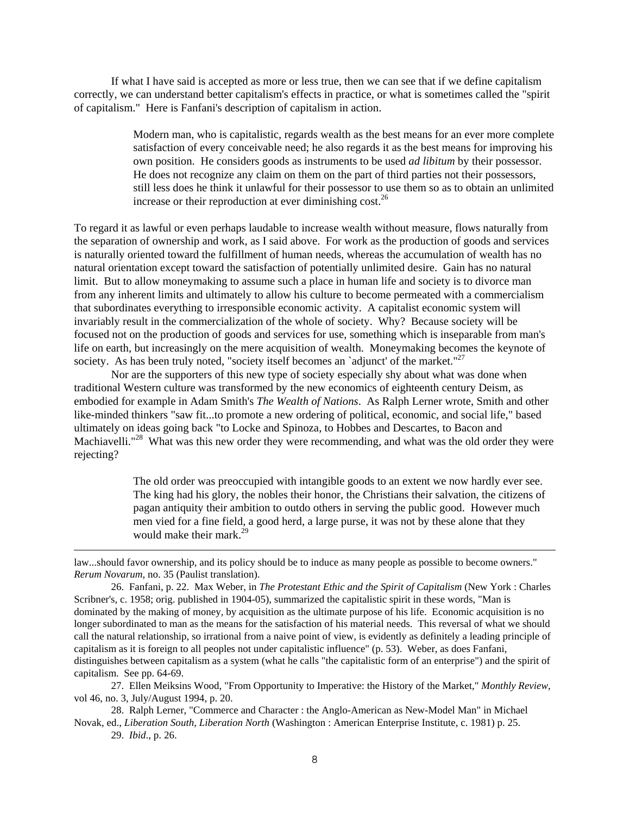If what I have said is accepted as more or less true, then we can see that if we define capitalism correctly, we can understand better capitalism's effects in practice, or what is sometimes called the "spirit of capitalism." Here is Fanfani's description of capitalism in action.

> Modern man, who is capitalistic, regards wealth as the best means for an ever more complete satisfaction of every conceivable need; he also regards it as the best means for improving his own position. He considers goods as instruments to be used *ad libitum* by their possessor. He does not recognize any claim on them on the part of third parties not their possessors, still less does he think it unlawful for their possessor to use them so as to obtain an unlimited increase or their reproduction at ever diminishing  $cost^{26}$ .

To regard it as lawful or even perhaps laudable to increase wealth without measure, flows naturally from the separation of ownership and work, as I said above. For work as the production of goods and services is naturally oriented toward the fulfillment of human needs, whereas the accumulation of wealth has no natural orientation except toward the satisfaction of potentially unlimited desire. Gain has no natural limit. But to allow moneymaking to assume such a place in human life and society is to divorce man from any inherent limits and ultimately to allow his culture to become permeated with a commercialism that subordinates everything to irresponsible economic activity. A capitalist economic system will invariably result in the commercialization of the whole of society. Why? Because society will be focused not on the production of goods and services for use, something which is inseparable from man's life on earth, but increasingly on the mere acquisition of wealth. Moneymaking becomes the keynote of society. As has been truly noted, "society itself becomes an `adjunct' of the market." $^{27}$ 

 Nor are the supporters of this new type of society especially shy about what was done when traditional Western culture was transformed by the new economics of eighteenth century Deism, as embodied for example in Adam Smith's *The Wealth of Nations*. As Ralph Lerner wrote, Smith and other like-minded thinkers "saw fit...to promote a new ordering of political, economic, and social life," based ultimately on ideas going back "to Locke and Spinoza, to Hobbes and Descartes, to Bacon and Machiavelli."<sup>28</sup> What was this new order they were recommending, and what was the old order they were rejecting?

> The old order was preoccupied with intangible goods to an extent we now hardly ever see. The king had his glory, the nobles their honor, the Christians their salvation, the citizens of pagan antiquity their ambition to outdo others in serving the public good. However much men vied for a fine field, a good herd, a large purse, it was not by these alone that they would make their mark.<sup>29</sup>

 27. Ellen Meiksins Wood, "From Opportunity to Imperative: the History of the Market," *Monthly Review*, vol 46, no. 3, July/August 1994, p. 20.

 28. Ralph Lerner, "Commerce and Character : the Anglo-American as New-Model Man" in Michael Novak, ed., *Liberation South, Liberation North* (Washington : American Enterprise Institute, c. 1981) p. 25.

29. *Ibid*., p. 26.

law...should favor ownership, and its policy should be to induce as many people as possible to become owners." *Rerum Novarum*, no. 35 (Paulist translation).

 <sup>26.</sup> Fanfani, p. 22. Max Weber, in *The Protestant Ethic and the Spirit of Capitalism* (New York : Charles Scribner's, c. 1958; orig. published in 1904-05), summarized the capitalistic spirit in these words, "Man is dominated by the making of money, by acquisition as the ultimate purpose of his life. Economic acquisition is no longer subordinated to man as the means for the satisfaction of his material needs. This reversal of what we should call the natural relationship, so irrational from a naive point of view, is evidently as definitely a leading principle of capitalism as it is foreign to all peoples not under capitalistic influence" (p. 53). Weber, as does Fanfani, distinguishes between capitalism as a system (what he calls "the capitalistic form of an enterprise") and the spirit of capitalism. See pp. 64-69.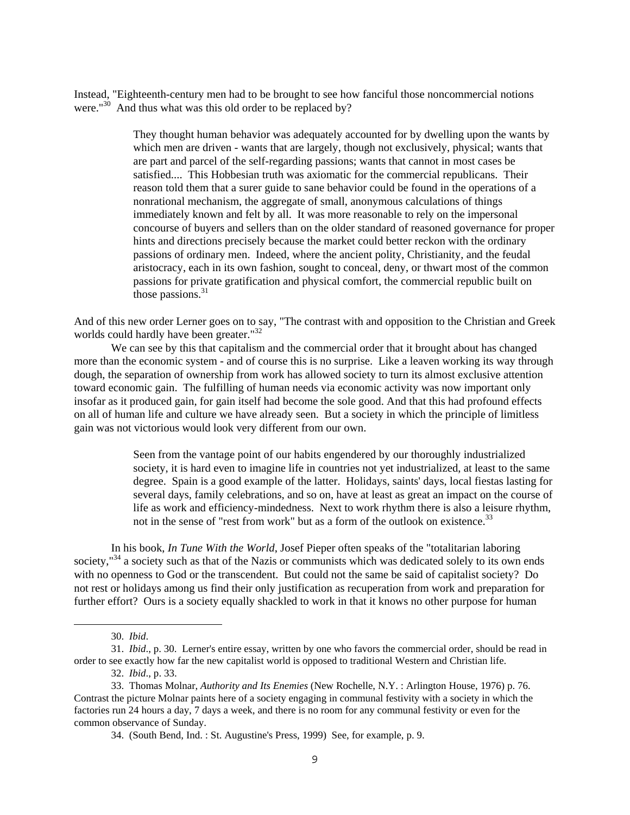Instead, "Eighteenth-century men had to be brought to see how fanciful those noncommercial notions were."<sup>30</sup> And thus what was this old order to be replaced by?

> They thought human behavior was adequately accounted for by dwelling upon the wants by which men are driven - wants that are largely, though not exclusively, physical; wants that are part and parcel of the self-regarding passions; wants that cannot in most cases be satisfied.... This Hobbesian truth was axiomatic for the commercial republicans. Their reason told them that a surer guide to sane behavior could be found in the operations of a nonrational mechanism, the aggregate of small, anonymous calculations of things immediately known and felt by all. It was more reasonable to rely on the impersonal concourse of buyers and sellers than on the older standard of reasoned governance for proper hints and directions precisely because the market could better reckon with the ordinary passions of ordinary men. Indeed, where the ancient polity, Christianity, and the feudal aristocracy, each in its own fashion, sought to conceal, deny, or thwart most of the common passions for private gratification and physical comfort, the commercial republic built on those passions. $31$

And of this new order Lerner goes on to say, "The contrast with and opposition to the Christian and Greek worlds could hardly have been greater."<sup>32</sup>

 We can see by this that capitalism and the commercial order that it brought about has changed more than the economic system - and of course this is no surprise. Like a leaven working its way through dough, the separation of ownership from work has allowed society to turn its almost exclusive attention toward economic gain. The fulfilling of human needs via economic activity was now important only insofar as it produced gain, for gain itself had become the sole good. And that this had profound effects on all of human life and culture we have already seen. But a society in which the principle of limitless gain was not victorious would look very different from our own.

> Seen from the vantage point of our habits engendered by our thoroughly industrialized society, it is hard even to imagine life in countries not yet industrialized, at least to the same degree. Spain is a good example of the latter. Holidays, saints' days, local fiestas lasting for several days, family celebrations, and so on, have at least as great an impact on the course of life as work and efficiency-mindedness. Next to work rhythm there is also a leisure rhythm, not in the sense of "rest from work" but as a form of the outlook on existence.<sup>33</sup>

 In his book, *In Tune With the World*, Josef Pieper often speaks of the "totalitarian laboring society,"<sup>34</sup> a society such as that of the Nazis or communists which was dedicated solely to its own ends with no openness to God or the transcendent. But could not the same be said of capitalist society? Do not rest or holidays among us find their only justification as recuperation from work and preparation for further effort? Ours is a society equally shackled to work in that it knows no other purpose for human

 <sup>30.</sup> *Ibid*.

 <sup>31.</sup> *Ibid*., p. 30. Lerner's entire essay, written by one who favors the commercial order, should be read in order to see exactly how far the new capitalist world is opposed to traditional Western and Christian life.

 <sup>32.</sup> *Ibid*., p. 33.

 <sup>33.</sup> Thomas Molnar, *Authority and Its Enemies* (New Rochelle, N.Y. : Arlington House, 1976) p. 76. Contrast the picture Molnar paints here of a society engaging in communal festivity with a society in which the factories run 24 hours a day, 7 days a week, and there is no room for any communal festivity or even for the common observance of Sunday.

 <sup>34. (</sup>South Bend, Ind. : St. Augustine's Press, 1999) See, for example, p. 9.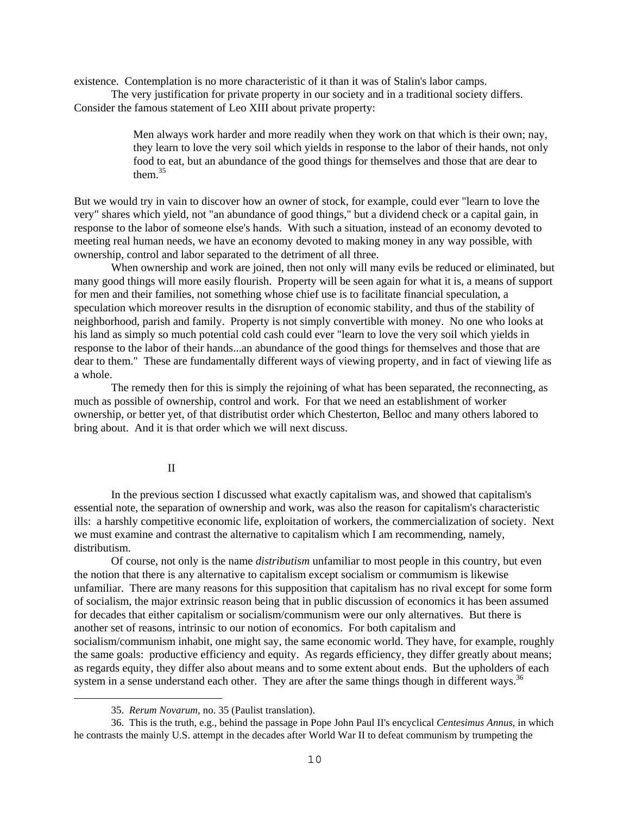existence. Contemplation is no more characteristic of it than it was of Stalin's labor camps.

 The very justification for private property in our society and in a traditional society differs. Consider the famous statement of Leo XIII about private property:

> Men always work harder and more readily when they work on that which is their own; nay, they learn to love the very soil which yields in response to the labor of their hands, not only food to eat, but an abundance of the good things for themselves and those that are dear to them.<sup>35</sup>

But we would try in vain to discover how an owner of stock, for example, could ever "learn to love the very" shares which yield, not "an abundance of good things," but a dividend check or a capital gain, in response to the labor of someone else's hands. With such a situation, instead of an economy devoted to meeting real human needs, we have an economy devoted to making money in any way possible, with ownership, control and labor separated to the detriment of all three.

 When ownership and work are joined, then not only will many evils be reduced or eliminated, but many good things will more easily flourish. Property will be seen again for what it is, a means of support for men and their families, not something whose chief use is to facilitate financial speculation, a speculation which moreover results in the disruption of economic stability, and thus of the stability of neighborhood, parish and family. Property is not simply convertible with money. No one who looks at his land as simply so much potential cold cash could ever "learn to love the very soil which yields in response to the labor of their hands...an abundance of the good things for themselves and those that are dear to them." These are fundamentally different ways of viewing property, and in fact of viewing life as a whole.

 The remedy then for this is simply the rejoining of what has been separated, the reconnecting, as much as possible of ownership, control and work. For that we need an establishment of worker ownership, or better yet, of that distributist order which Chesterton, Belloc and many others labored to bring about. And it is that order which we will next discuss.

## II

 In the previous section I discussed what exactly capitalism was, and showed that capitalism's essential note, the separation of ownership and work, was also the reason for capitalism's characteristic ills: a harshly competitive economic life, exploitation of workers, the commercialization of society. Next we must examine and contrast the alternative to capitalism which I am recommending, namely, distributism.

 Of course, not only is the name *distributism* unfamiliar to most people in this country, but even the notion that there is any alternative to capitalism except socialism or commumism is likewise unfamiliar. There are many reasons for this supposition that capitalism has no rival except for some form of socialism, the major extrinsic reason being that in public discussion of economics it has been assumed for decades that either capitalism or socialism/communism were our only alternatives. But there is another set of reasons, intrinsic to our notion of economics. For both capitalism and socialism/communism inhabit, one might say, the same economic world. They have, for example, roughly the same goals: productive efficiency and equity. As regards efficiency, they differ greatly about means; as regards equity, they differ also about means and to some extent about ends. But the upholders of each system in a sense understand each other. They are after the same things though in different ways.<sup>36</sup>

 <sup>35.</sup> *Rerum Novarum*, no. 35 (Paulist translation).

 <sup>36.</sup> This is the truth, e.g., behind the passage in Pope John Paul II's encyclical *Centesimus Annus*, in which he contrasts the mainly U.S. attempt in the decades after World War II to defeat communism by trumpeting the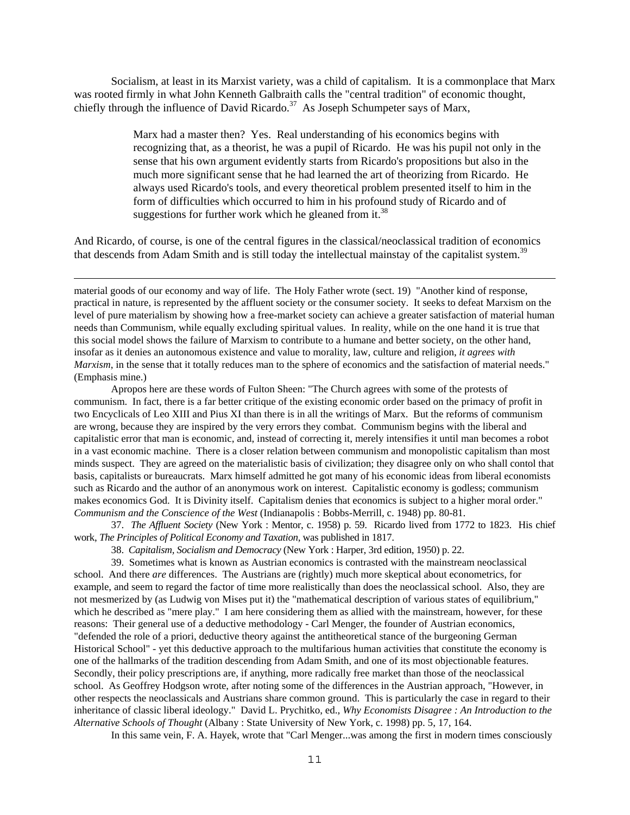Socialism, at least in its Marxist variety, was a child of capitalism. It is a commonplace that Marx was rooted firmly in what John Kenneth Galbraith calls the "central tradition" of economic thought, chiefly through the influence of David Ricardo.<sup>37</sup> As Joseph Schumpeter says of Marx,

> Marx had a master then? Yes. Real understanding of his economics begins with recognizing that, as a theorist, he was a pupil of Ricardo. He was his pupil not only in the sense that his own argument evidently starts from Ricardo's propositions but also in the much more significant sense that he had learned the art of theorizing from Ricardo. He always used Ricardo's tools, and every theoretical problem presented itself to him in the form of difficulties which occurred to him in his profound study of Ricardo and of suggestions for further work which he gleaned from it. $38$

And Ricardo, of course, is one of the central figures in the classical/neoclassical tradition of economics that descends from Adam Smith and is still today the intellectual mainstay of the capitalist system.<sup>39</sup>

material goods of our economy and way of life. The Holy Father wrote (sect. 19) "Another kind of response, practical in nature, is represented by the affluent society or the consumer society. It seeks to defeat Marxism on the level of pure materialism by showing how a free-market society can achieve a greater satisfaction of material human needs than Communism, while equally excluding spiritual values. In reality, while on the one hand it is true that this social model shows the failure of Marxism to contribute to a humane and better society, on the other hand, insofar as it denies an autonomous existence and value to morality, law, culture and religion, *it agrees with Marxism*, in the sense that it totally reduces man to the sphere of economics and the satisfaction of material needs." (Emphasis mine.)

 Apropos here are these words of Fulton Sheen: "The Church agrees with some of the protests of communism. In fact, there is a far better critique of the existing economic order based on the primacy of profit in two Encyclicals of Leo XIII and Pius XI than there is in all the writings of Marx. But the reforms of communism are wrong, because they are inspired by the very errors they combat. Communism begins with the liberal and capitalistic error that man is economic, and, instead of correcting it, merely intensifies it until man becomes a robot in a vast economic machine. There is a closer relation between communism and monopolistic capitalism than most minds suspect. They are agreed on the materialistic basis of civilization; they disagree only on who shall contol that basis, capitalists or bureaucrats. Marx himself admitted he got many of his economic ideas from liberal economists such as Ricardo and the author of an anonymous work on interest. Capitalistic economy is godless; communism makes economics God. It is Divinity itself. Capitalism denies that economics is subject to a higher moral order." *Communism and the Conscience of the West* (Indianapolis : Bobbs-Merrill, c. 1948) pp. 80-81.

 37. *The Affluent Society* (New York : Mentor, c. 1958) p. 59. Ricardo lived from 1772 to 1823. His chief work, *The Principles of Political Economy and Taxation*, was published in 1817.

38. *Capitalism, Socialism and Democracy* (New York : Harper, 3rd edition, 1950) p. 22.

 39. Sometimes what is known as Austrian economics is contrasted with the mainstream neoclassical school. And there *are* differences. The Austrians are (rightly) much more skeptical about econometrics, for example, and seem to regard the factor of time more realistically than does the neoclassical school. Also, they are not mesmerized by (as Ludwig von Mises put it) the "mathematical description of various states of equilibrium," which he described as "mere play." I am here considering them as allied with the mainstream, however, for these reasons: Their general use of a deductive methodology - Carl Menger, the founder of Austrian economics, "defended the role of a priori, deductive theory against the antitheoretical stance of the burgeoning German Historical School" - yet this deductive approach to the multifarious human activities that constitute the economy is one of the hallmarks of the tradition descending from Adam Smith, and one of its most objectionable features. Secondly, their policy prescriptions are, if anything, more radically free market than those of the neoclassical school. As Geoffrey Hodgson wrote, after noting some of the differences in the Austrian approach, "However, in other respects the neoclassicals and Austrians share common ground. This is particularly the case in regard to their inheritance of classic liberal ideology." David L. Prychitko, ed., *Why Economists Disagree : An Introduction to the Alternative Schools of Thought* (Albany : State University of New York, c. 1998) pp. 5, 17, 164.

In this same vein, F. A. Hayek, wrote that "Carl Menger...was among the first in modern times consciously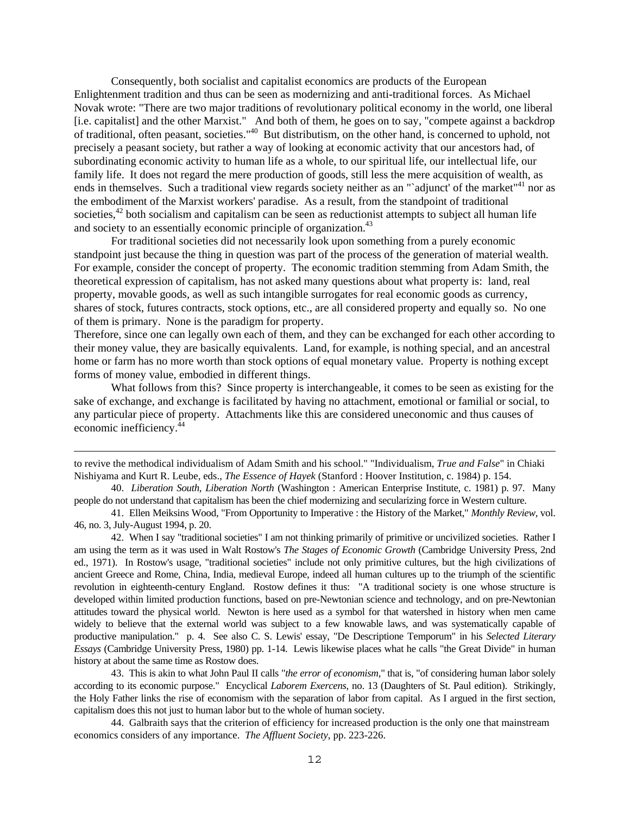Consequently, both socialist and capitalist economics are products of the European Enlightenment tradition and thus can be seen as modernizing and anti-traditional forces. As Michael Novak wrote: "There are two major traditions of revolutionary political economy in the world, one liberal [i.e. capitalist] and the other Marxist." And both of them, he goes on to say, "compete against a backdrop of traditional, often peasant, societies."40 But distributism, on the other hand, is concerned to uphold, not precisely a peasant society, but rather a way of looking at economic activity that our ancestors had, of subordinating economic activity to human life as a whole, to our spiritual life, our intellectual life, our family life. It does not regard the mere production of goods, still less the mere acquisition of wealth, as ends in themselves. Such a traditional view regards society neither as an "`adjunct' of the market"<sup>41</sup> nor as the embodiment of the Marxist workers' paradise. As a result, from the standpoint of traditional societies, $42$  both socialism and capitalism can be seen as reductionist attempts to subject all human life and society to an essentially economic principle of organization.<sup>43</sup>

 For traditional societies did not necessarily look upon something from a purely economic standpoint just because the thing in question was part of the process of the generation of material wealth. For example, consider the concept of property. The economic tradition stemming from Adam Smith, the theoretical expression of capitalism, has not asked many questions about what property is: land, real property, movable goods, as well as such intangible surrogates for real economic goods as currency, shares of stock, futures contracts, stock options, etc., are all considered property and equally so. No one of them is primary. None is the paradigm for property.

Therefore, since one can legally own each of them, and they can be exchanged for each other according to their money value, they are basically equivalents. Land, for example, is nothing special, and an ancestral home or farm has no more worth than stock options of equal monetary value. Property is nothing except forms of money value, embodied in different things.

 What follows from this? Since property is interchangeable, it comes to be seen as existing for the sake of exchange, and exchange is facilitated by having no attachment, emotional or familial or social, to any particular piece of property. Attachments like this are considered uneconomic and thus causes of economic inefficiency.<sup>44</sup>

 40. *Liberation South, Liberation North* (Washington : American Enterprise Institute, c. 1981) p. 97. Many people do not understand that capitalism has been the chief modernizing and secularizing force in Western culture.

 41. Ellen Meiksins Wood, "From Opportunity to Imperative : the History of the Market," *Monthly Review*, vol. 46, no. 3, July-August 1994, p. 20.

 42. When I say "traditional societies" I am not thinking primarily of primitive or uncivilized societies. Rather I am using the term as it was used in Walt Rostow's *The Stages of Economic Growth* (Cambridge University Press, 2nd ed., 1971). In Rostow's usage, "traditional societies" include not only primitive cultures, but the high civilizations of ancient Greece and Rome, China, India, medieval Europe, indeed all human cultures up to the triumph of the scientific revolution in eighteenth-century England. Rostow defines it thus: "A traditional society is one whose structure is developed within limited production functions, based on pre-Newtonian science and technology, and on pre-Newtonian attitudes toward the physical world. Newton is here used as a symbol for that watershed in history when men came widely to believe that the external world was subject to a few knowable laws, and was systematically capable of productive manipulation." p. 4. See also C. S. Lewis' essay, "De Descriptione Temporum" in his *Selected Literary Essays* (Cambridge University Press, 1980) pp. 1-14. Lewis likewise places what he calls "the Great Divide" in human history at about the same time as Rostow does.

 43. This is akin to what John Paul II calls "*the error of economism*," that is, "of considering human labor solely according to its economic purpose." Encyclical *Laborem Exercens*, no. 13 (Daughters of St. Paul edition). Strikingly, the Holy Father links the rise of economism with the separation of labor from capital. As I argued in the first section, capitalism does this not just to human labor but to the whole of human society.

 44. Galbraith says that the criterion of efficiency for increased production is the only one that mainstream economics considers of any importance. *The Affluent Society*, pp. 223-226.

to revive the methodical individualism of Adam Smith and his school." "Individualism, *True and False*" in Chiaki Nishiyama and Kurt R. Leube, eds., *The Essence of Hayek* (Stanford : Hoover Institution, c. 1984) p. 154.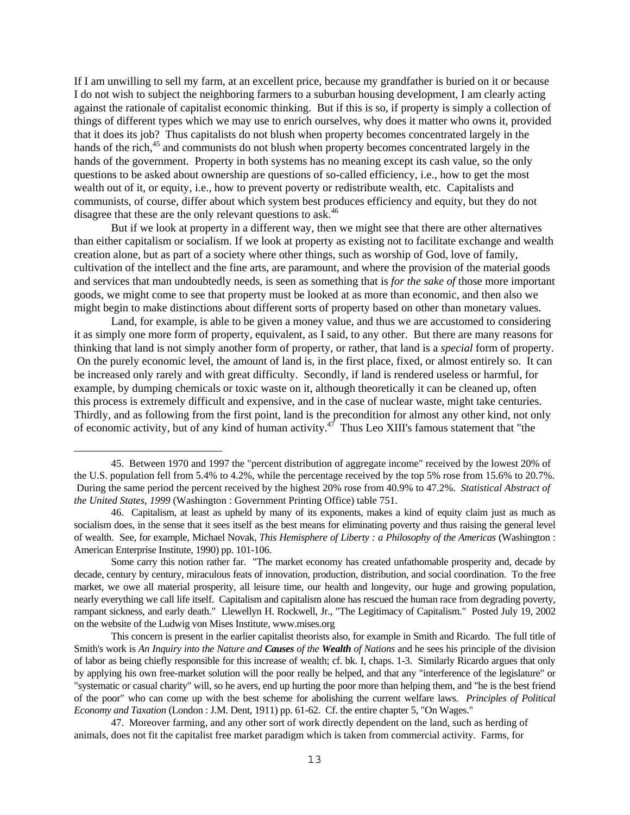If I am unwilling to sell my farm, at an excellent price, because my grandfather is buried on it or because I do not wish to subject the neighboring farmers to a suburban housing development, I am clearly acting against the rationale of capitalist economic thinking. But if this is so, if property is simply a collection of things of different types which we may use to enrich ourselves, why does it matter who owns it, provided that it does its job? Thus capitalists do not blush when property becomes concentrated largely in the hands of the rich,<sup>45</sup> and communists do not blush when property becomes concentrated largely in the hands of the government. Property in both systems has no meaning except its cash value, so the only questions to be asked about ownership are questions of so-called efficiency, i.e., how to get the most wealth out of it, or equity, i.e., how to prevent poverty or redistribute wealth, etc. Capitalists and communists, of course, differ about which system best produces efficiency and equity, but they do not disagree that these are the only relevant questions to ask.<sup>46</sup>

 But if we look at property in a different way, then we might see that there are other alternatives than either capitalism or socialism. If we look at property as existing not to facilitate exchange and wealth creation alone, but as part of a society where other things, such as worship of God, love of family, cultivation of the intellect and the fine arts, are paramount, and where the provision of the material goods and services that man undoubtedly needs, is seen as something that is *for the sake of* those more important goods, we might come to see that property must be looked at as more than economic, and then also we might begin to make distinctions about different sorts of property based on other than monetary values.

 Land, for example, is able to be given a money value, and thus we are accustomed to considering it as simply one more form of property, equivalent, as I said, to any other. But there are many reasons for thinking that land is not simply another form of property, or rather, that land is a *special* form of property. On the purely economic level, the amount of land is, in the first place, fixed, or almost entirely so. It can be increased only rarely and with great difficulty. Secondly, if land is rendered useless or harmful, for example, by dumping chemicals or toxic waste on it, although theoretically it can be cleaned up, often this process is extremely difficult and expensive, and in the case of nuclear waste, might take centuries. Thirdly, and as following from the first point, land is the precondition for almost any other kind, not only of economic activity, but of any kind of human activity.<sup>47</sup> Thus Leo XIII's famous statement that "the

i<br>L

 <sup>45.</sup> Between 1970 and 1997 the "percent distribution of aggregate income" received by the lowest 20% of the U.S. population fell from 5.4% to 4.2%, while the percentage received by the top 5% rose from 15.6% to 20.7%. During the same period the percent received by the highest 20% rose from 40.9% to 47.2%. *Statistical Abstract of the United States, 1999* (Washington : Government Printing Office) table 751.

 <sup>46.</sup> Capitalism, at least as upheld by many of its exponents, makes a kind of equity claim just as much as socialism does, in the sense that it sees itself as the best means for eliminating poverty and thus raising the general level of wealth. See, for example, Michael Novak, *This Hemisphere of Liberty : a Philosophy of the Americas* (Washington : American Enterprise Institute, 1990) pp. 101-106.

Some carry this notion rather far. "The market economy has created unfathomable prosperity and, decade by decade, century by century, miraculous feats of innovation, production, distribution, and social coordination. To the free market, we owe all material prosperity, all leisure time, our health and longevity, our huge and growing population, nearly everything we call life itself. Capitalism and capitalism alone has rescued the human race from degrading poverty, rampant sickness, and early death." Llewellyn H. Rockwell, Jr., "The Legitimacy of Capitalism." Posted July 19, 2002 on the website of the Ludwig von Mises Institute, www.mises.org

This concern is present in the earlier capitalist theorists also, for example in Smith and Ricardo. The full title of Smith's work is *An Inquiry into the Nature and Causes of the Wealth of Nations* and he sees his principle of the division of labor as being chiefly responsible for this increase of wealth; cf. bk. I, chaps. 1-3. Similarly Ricardo argues that only by applying his own free-market solution will the poor really be helped, and that any "interference of the legislature" or "systematic or casual charity" will, so he avers, end up hurting the poor more than helping them, and "he is the best friend of the poor" who can come up with the best scheme for abolishing the current welfare laws. *Principles of Political Economy and Taxation* (London : J.M. Dent, 1911) pp. 61-62. Cf. the entire chapter 5, "On Wages."

 <sup>47.</sup> Moreover farming, and any other sort of work directly dependent on the land, such as herding of animals, does not fit the capitalist free market paradigm which is taken from commercial activity. Farms, for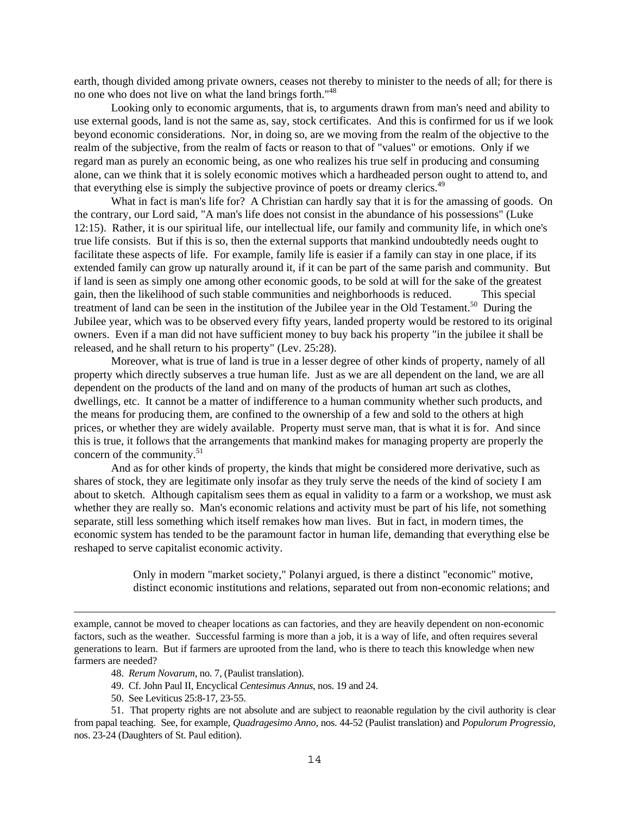earth, though divided among private owners, ceases not thereby to minister to the needs of all; for there is no one who does not live on what the land brings forth."<sup>48</sup>

 Looking only to economic arguments, that is, to arguments drawn from man's need and ability to use external goods, land is not the same as, say, stock certificates. And this is confirmed for us if we look beyond economic considerations. Nor, in doing so, are we moving from the realm of the objective to the realm of the subjective, from the realm of facts or reason to that of "values" or emotions. Only if we regard man as purely an economic being, as one who realizes his true self in producing and consuming alone, can we think that it is solely economic motives which a hardheaded person ought to attend to, and that everything else is simply the subjective province of poets or dreamy clerics.<sup>49</sup>

What in fact is man's life for? A Christian can hardly say that it is for the amassing of goods. On the contrary, our Lord said, "A man's life does not consist in the abundance of his possessions" (Luke 12:15). Rather, it is our spiritual life, our intellectual life, our family and community life, in which one's true life consists. But if this is so, then the external supports that mankind undoubtedly needs ought to facilitate these aspects of life. For example, family life is easier if a family can stay in one place, if its extended family can grow up naturally around it, if it can be part of the same parish and community. But if land is seen as simply one among other economic goods, to be sold at will for the sake of the greatest gain, then the likelihood of such stable communities and neighborhoods is reduced. This special treatment of land can be seen in the institution of the Jubilee year in the Old Testament.<sup>50</sup> During the Jubilee year, which was to be observed every fifty years, landed property would be restored to its original owners. Even if a man did not have sufficient money to buy back his property "in the jubilee it shall be released, and he shall return to his property" (Lev. 25:28).

 Moreover, what is true of land is true in a lesser degree of other kinds of property, namely of all property which directly subserves a true human life. Just as we are all dependent on the land, we are all dependent on the products of the land and on many of the products of human art such as clothes, dwellings, etc. It cannot be a matter of indifference to a human community whether such products, and the means for producing them, are confined to the ownership of a few and sold to the others at high prices, or whether they are widely available. Property must serve man, that is what it is for. And since this is true, it follows that the arrangements that mankind makes for managing property are properly the concern of the community. $51$ 

 And as for other kinds of property, the kinds that might be considered more derivative, such as shares of stock, they are legitimate only insofar as they truly serve the needs of the kind of society I am about to sketch. Although capitalism sees them as equal in validity to a farm or a workshop, we must ask whether they are really so. Man's economic relations and activity must be part of his life, not something separate, still less something which itself remakes how man lives. But in fact, in modern times, the economic system has tended to be the paramount factor in human life, demanding that everything else be reshaped to serve capitalist economic activity.

> Only in modern "market society," Polanyi argued, is there a distinct "economic" motive, distinct economic institutions and relations, separated out from non-economic relations; and

example, cannot be moved to cheaper locations as can factories, and they are heavily dependent on non-economic factors, such as the weather. Successful farming is more than a job, it is a way of life, and often requires several generations to learn. But if farmers are uprooted from the land, who is there to teach this knowledge when new farmers are needed?

 <sup>48.</sup> *Rerum Novarum*, no. 7, (Paulist translation).

 <sup>49.</sup> Cf. John Paul II, Encyclical *Centesimus Annus*, nos. 19 and 24.

 <sup>50.</sup> See Leviticus 25:8-17, 23-55.

 <sup>51.</sup> That property rights are not absolute and are subject to reaonable regulation by the civil authority is clear from papal teaching. See, for example, *Quadragesimo Anno*, nos. 44-52 (Paulist translation) and *Populorum Progressio*, nos. 23-24 (Daughters of St. Paul edition).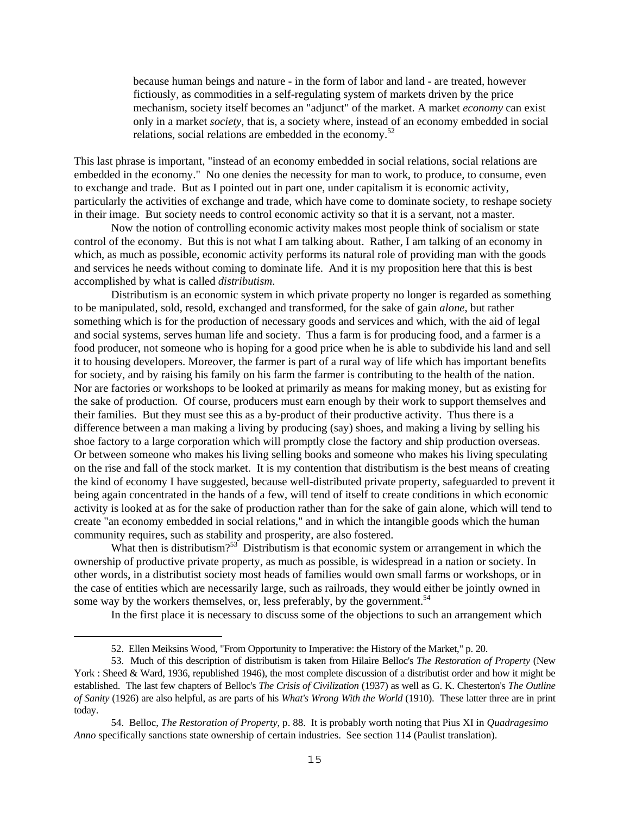because human beings and nature - in the form of labor and land - are treated, however fictiously, as commodities in a self-regulating system of markets driven by the price mechanism, society itself becomes an "adjunct" of the market. A market *economy* can exist only in a market *society*, that is, a society where, instead of an economy embedded in social relations, social relations are embedded in the economy.<sup>52</sup>

This last phrase is important, "instead of an economy embedded in social relations, social relations are embedded in the economy." No one denies the necessity for man to work, to produce, to consume, even to exchange and trade. But as I pointed out in part one, under capitalism it is economic activity, particularly the activities of exchange and trade, which have come to dominate society, to reshape society in their image. But society needs to control economic activity so that it is a servant, not a master.

 Now the notion of controlling economic activity makes most people think of socialism or state control of the economy. But this is not what I am talking about. Rather, I am talking of an economy in which, as much as possible, economic activity performs its natural role of providing man with the goods and services he needs without coming to dominate life. And it is my proposition here that this is best accomplished by what is called *distributism*.

 Distributism is an economic system in which private property no longer is regarded as something to be manipulated, sold, resold, exchanged and transformed, for the sake of gain *alone*, but rather something which is for the production of necessary goods and services and which, with the aid of legal and social systems, serves human life and society. Thus a farm is for producing food, and a farmer is a food producer, not someone who is hoping for a good price when he is able to subdivide his land and sell it to housing developers. Moreover, the farmer is part of a rural way of life which has important benefits for society, and by raising his family on his farm the farmer is contributing to the health of the nation. Nor are factories or workshops to be looked at primarily as means for making money, but as existing for the sake of production. Of course, producers must earn enough by their work to support themselves and their families. But they must see this as a by-product of their productive activity. Thus there is a difference between a man making a living by producing (say) shoes, and making a living by selling his shoe factory to a large corporation which will promptly close the factory and ship production overseas. Or between someone who makes his living selling books and someone who makes his living speculating on the rise and fall of the stock market. It is my contention that distributism is the best means of creating the kind of economy I have suggested, because well-distributed private property, safeguarded to prevent it being again concentrated in the hands of a few, will tend of itself to create conditions in which economic activity is looked at as for the sake of production rather than for the sake of gain alone, which will tend to create "an economy embedded in social relations," and in which the intangible goods which the human community requires, such as stability and prosperity, are also fostered.

What then is distributism?<sup>53</sup> Distributism is that economic system or arrangement in which the ownership of productive private property, as much as possible, is widespread in a nation or society. In other words, in a distributist society most heads of families would own small farms or workshops, or in the case of entities which are necessarily large, such as railroads, they would either be jointly owned in some way by the workers themselves, or, less preferably, by the government.<sup>54</sup>

In the first place it is necessary to discuss some of the objections to such an arrangement which

 <sup>52.</sup> Ellen Meiksins Wood, "From Opportunity to Imperative: the History of the Market," p. 20.

 <sup>53.</sup> Much of this description of distributism is taken from Hilaire Belloc's *The Restoration of Property* (New York : Sheed & Ward, 1936, republished 1946), the most complete discussion of a distributist order and how it might be established. The last few chapters of Belloc's *The Crisis of Civilization* (1937) as well as G. K. Chesterton's *The Outline of Sanity* (1926) are also helpful, as are parts of his *What's Wrong With the World* (1910). These latter three are in print today.

 <sup>54.</sup> Belloc, *The Restoration of Property*, p. 88. It is probably worth noting that Pius XI in *Quadragesimo Anno* specifically sanctions state ownership of certain industries. See section 114 (Paulist translation).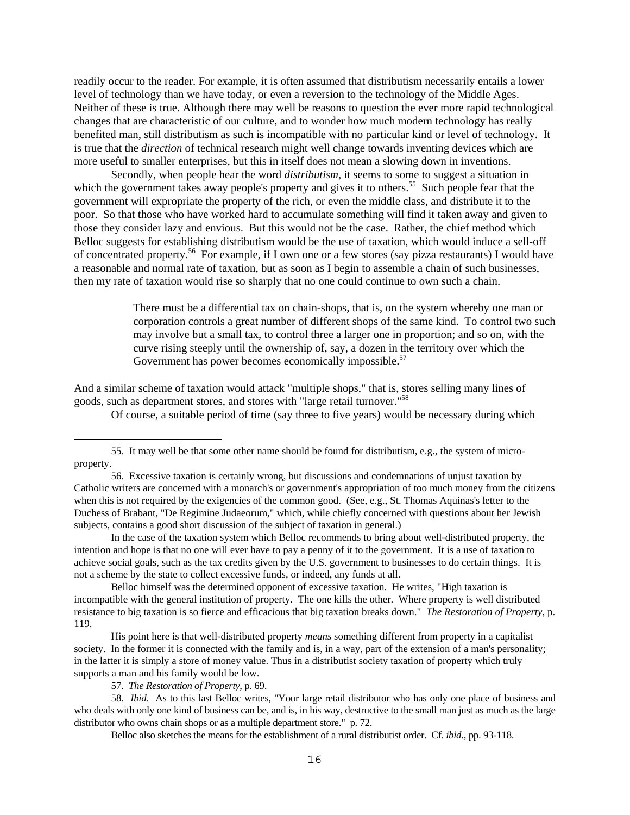readily occur to the reader. For example, it is often assumed that distributism necessarily entails a lower level of technology than we have today, or even a reversion to the technology of the Middle Ages. Neither of these is true. Although there may well be reasons to question the ever more rapid technological changes that are characteristic of our culture, and to wonder how much modern technology has really benefited man, still distributism as such is incompatible with no particular kind or level of technology. It is true that the *direction* of technical research might well change towards inventing devices which are more useful to smaller enterprises, but this in itself does not mean a slowing down in inventions.

 Secondly, when people hear the word *distributism*, it seems to some to suggest a situation in which the government takes away people's property and gives it to others.<sup>55</sup> Such people fear that the government will expropriate the property of the rich, or even the middle class, and distribute it to the poor. So that those who have worked hard to accumulate something will find it taken away and given to those they consider lazy and envious. But this would not be the case. Rather, the chief method which Belloc suggests for establishing distributism would be the use of taxation, which would induce a sell-off of concentrated property.<sup>56</sup> For example, if I own one or a few stores (say pizza restaurants) I would have a reasonable and normal rate of taxation, but as soon as I begin to assemble a chain of such businesses, then my rate of taxation would rise so sharply that no one could continue to own such a chain.

> There must be a differential tax on chain-shops, that is, on the system whereby one man or corporation controls a great number of different shops of the same kind. To control two such may involve but a small tax, to control three a larger one in proportion; and so on, with the curve rising steeply until the ownership of, say, a dozen in the territory over which the Government has power becomes economically impossible.<sup>57</sup>

And a similar scheme of taxation would attack "multiple shops," that is, stores selling many lines of goods, such as department stores, and stores with "large retail turnover."58

Of course, a suitable period of time (say three to five years) would be necessary during which

 In the case of the taxation system which Belloc recommends to bring about well-distributed property, the intention and hope is that no one will ever have to pay a penny of it to the government. It is a use of taxation to achieve social goals, such as the tax credits given by the U.S. government to businesses to do certain things. It is not a scheme by the state to collect excessive funds, or indeed, any funds at all.

 Belloc himself was the determined opponent of excessive taxation. He writes, "High taxation is incompatible with the general institution of property. The one kills the other. Where property is well distributed resistance to big taxation is so fierce and efficacious that big taxation breaks down." *The Restoration of Property*, p. 119.

 His point here is that well-distributed property *means* something different from property in a capitalist society. In the former it is connected with the family and is, in a way, part of the extension of a man's personality; in the latter it is simply a store of money value. Thus in a distributist society taxation of property which truly supports a man and his family would be low.

57. *The Restoration of Property*, p. 69.

 58. *Ibid*. As to this last Belloc writes, "Your large retail distributor who has only one place of business and who deals with only one kind of business can be, and is, in his way, destructive to the small man just as much as the large distributor who owns chain shops or as a multiple department store." p. 72.

 <sup>55.</sup> It may well be that some other name should be found for distributism, e.g., the system of microproperty.

 <sup>56.</sup> Excessive taxation is certainly wrong, but discussions and condemnations of unjust taxation by Catholic writers are concerned with a monarch's or government's appropriation of too much money from the citizens when this is not required by the exigencies of the common good. (See, e.g., St. Thomas Aquinas's letter to the Duchess of Brabant, "De Regimine Judaeorum," which, while chiefly concerned with questions about her Jewish subjects, contains a good short discussion of the subject of taxation in general.)

Belloc also sketches the means for the establishment of a rural distributist order. Cf. *ibid*., pp. 93-118.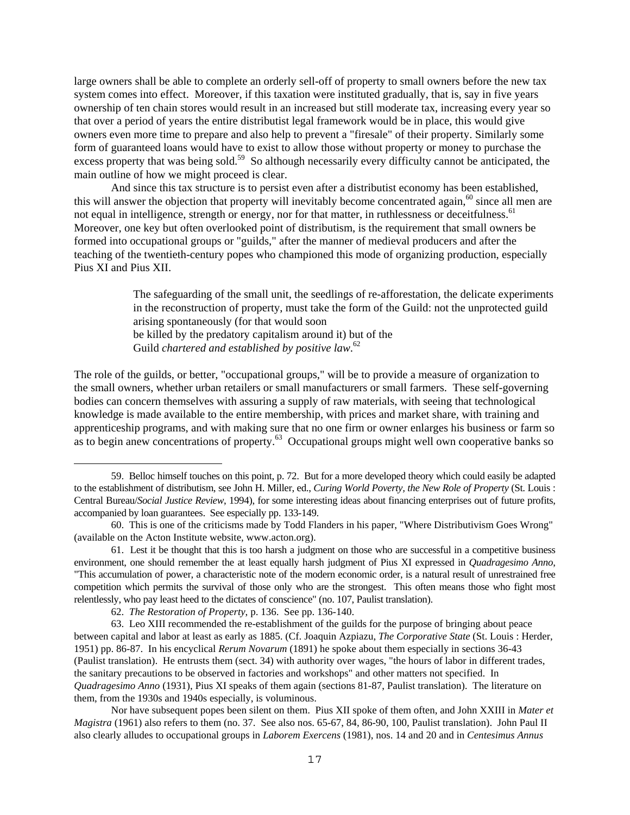large owners shall be able to complete an orderly sell-off of property to small owners before the new tax system comes into effect. Moreover, if this taxation were instituted gradually, that is, say in five years ownership of ten chain stores would result in an increased but still moderate tax, increasing every year so that over a period of years the entire distributist legal framework would be in place, this would give owners even more time to prepare and also help to prevent a "firesale" of their property. Similarly some form of guaranteed loans would have to exist to allow those without property or money to purchase the excess property that was being sold.<sup>59</sup> So although necessarily every difficulty cannot be anticipated, the main outline of how we might proceed is clear.

 And since this tax structure is to persist even after a distributist economy has been established, this will answer the objection that property will inevitably become concentrated again, $60$  since all men are not equal in intelligence, strength or energy, nor for that matter, in ruthlessness or deceitfulness.<sup>61</sup> Moreover, one key but often overlooked point of distributism, is the requirement that small owners be formed into occupational groups or "guilds," after the manner of medieval producers and after the teaching of the twentieth-century popes who championed this mode of organizing production, especially Pius XI and Pius XII.

> The safeguarding of the small unit, the seedlings of re-afforestation, the delicate experiments in the reconstruction of property, must take the form of the Guild: not the unprotected guild arising spontaneously (for that would soon be killed by the predatory capitalism around it) but of the Guild *chartered and established by positive law*. 62

The role of the guilds, or better, "occupational groups," will be to provide a measure of organization to the small owners, whether urban retailers or small manufacturers or small farmers. These self-governing bodies can concern themselves with assuring a supply of raw materials, with seeing that technological knowledge is made available to the entire membership, with prices and market share, with training and apprenticeship programs, and with making sure that no one firm or owner enlarges his business or farm so as to begin anew concentrations of property.<sup>63</sup> Occupational groups might well own cooperative banks so

 Nor have subsequent popes been silent on them. Pius XII spoke of them often, and John XXIII in *Mater et Magistra* (1961) also refers to them (no. 37. See also nos. 65-67, 84, 86-90, 100, Paulist translation). John Paul II also clearly alludes to occupational groups in *Laborem Exercens* (1981), nos. 14 and 20 and in *Centesimus Annus*

 <sup>59.</sup> Belloc himself touches on this point, p. 72. But for a more developed theory which could easily be adapted to the establishment of distributism, see John H. Miller, ed., *Curing World Poverty, the New Role of Property* (St. Louis : Central Bureau/*Social Justice Review*, 1994), for some interesting ideas about financing enterprises out of future profits, accompanied by loan guarantees. See especially pp. 133-149.

 <sup>60.</sup> This is one of the criticisms made by Todd Flanders in his paper, "Where Distributivism Goes Wrong" (available on the Acton Institute website, www.acton.org).

 <sup>61.</sup> Lest it be thought that this is too harsh a judgment on those who are successful in a competitive business environment, one should remember the at least equally harsh judgment of Pius XI expressed in *Quadragesimo Anno*, "This accumulation of power, a characteristic note of the modern economic order, is a natural result of unrestrained free competition which permits the survival of those only who are the strongest. This often means those who fight most relentlessly, who pay least heed to the dictates of conscience" (no. 107, Paulist translation).

 <sup>62.</sup> *The Restoration of Property*, p. 136. See pp. 136-140.

 <sup>63.</sup> Leo XIII recommended the re-establishment of the guilds for the purpose of bringing about peace between capital and labor at least as early as 1885. (Cf. Joaquin Azpiazu, *The Corporative State* (St. Louis : Herder, 1951) pp. 86-87. In his encyclical *Rerum Novarum* (1891) he spoke about them especially in sections 36-43 (Paulist translation). He entrusts them (sect. 34) with authority over wages, "the hours of labor in different trades, the sanitary precautions to be observed in factories and workshops" and other matters not specified. In *Quadragesimo Anno* (1931), Pius XI speaks of them again (sections 81-87, Paulist translation). The literature on them, from the 1930s and 1940s especially, is voluminous.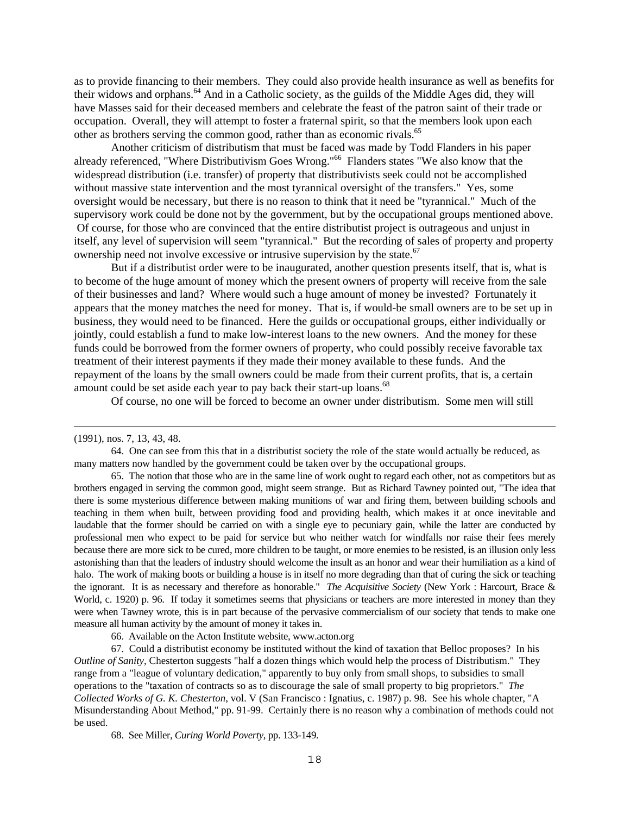as to provide financing to their members. They could also provide health insurance as well as benefits for their widows and orphans.64 And in a Catholic society, as the guilds of the Middle Ages did, they will have Masses said for their deceased members and celebrate the feast of the patron saint of their trade or occupation. Overall, they will attempt to foster a fraternal spirit, so that the members look upon each other as brothers serving the common good, rather than as economic rivals.<sup>65</sup>

 Another criticism of distributism that must be faced was made by Todd Flanders in his paper already referenced, "Where Distributivism Goes Wrong."66 Flanders states "We also know that the widespread distribution (i.e. transfer) of property that distributivists seek could not be accomplished without massive state intervention and the most tyrannical oversight of the transfers." Yes, some oversight would be necessary, but there is no reason to think that it need be "tyrannical." Much of the supervisory work could be done not by the government, but by the occupational groups mentioned above. Of course, for those who are convinced that the entire distributist project is outrageous and unjust in itself, any level of supervision will seem "tyrannical." But the recording of sales of property and property ownership need not involve excessive or intrusive supervision by the state.<sup>67</sup>

 But if a distributist order were to be inaugurated, another question presents itself, that is, what is to become of the huge amount of money which the present owners of property will receive from the sale of their businesses and land? Where would such a huge amount of money be invested? Fortunately it appears that the money matches the need for money. That is, if would-be small owners are to be set up in business, they would need to be financed. Here the guilds or occupational groups, either individually or jointly, could establish a fund to make low-interest loans to the new owners. And the money for these funds could be borrowed from the former owners of property, who could possibly receive favorable tax treatment of their interest payments if they made their money available to these funds. And the repayment of the loans by the small owners could be made from their current profits, that is, a certain amount could be set aside each year to pay back their start-up loans.<sup>68</sup>

Of course, no one will be forced to become an owner under distributism. Some men will still

66. Available on the Acton Institute website, www.acton.org

 67. Could a distributist economy be instituted without the kind of taxation that Belloc proposes? In his *Outline of Sanity*, Chesterton suggests "half a dozen things which would help the process of Distributism." They range from a "league of voluntary dedication," apparently to buy only from small shops, to subsidies to small operations to the "taxation of contracts so as to discourage the sale of small property to big proprietors." *The Collected Works of G. K. Chesterton*, vol. V (San Francisco : Ignatius, c. 1987) p. 98. See his whole chapter, "A Misunderstanding About Method," pp. 91-99. Certainly there is no reason why a combination of methods could not be used.

68. See Miller, *Curing World Poverty*, pp. 133-149.

<sup>(1991),</sup> nos. 7, 13, 43, 48.

 <sup>64.</sup> One can see from this that in a distributist society the role of the state would actually be reduced, as many matters now handled by the government could be taken over by the occupational groups.

 <sup>65.</sup> The notion that those who are in the same line of work ought to regard each other, not as competitors but as brothers engaged in serving the common good, might seem strange. But as Richard Tawney pointed out, "The idea that there is some mysterious difference between making munitions of war and firing them, between building schools and teaching in them when built, between providing food and providing health, which makes it at once inevitable and laudable that the former should be carried on with a single eye to pecuniary gain, while the latter are conducted by professional men who expect to be paid for service but who neither watch for windfalls nor raise their fees merely because there are more sick to be cured, more children to be taught, or more enemies to be resisted, is an illusion only less astonishing than that the leaders of industry should welcome the insult as an honor and wear their humiliation as a kind of halo. The work of making boots or building a house is in itself no more degrading than that of curing the sick or teaching the ignorant. It is as necessary and therefore as honorable." *The Acquisitive Society* (New York : Harcourt, Brace & World, c. 1920) p. 96. If today it sometimes seems that physicians or teachers are more interested in money than they were when Tawney wrote, this is in part because of the pervasive commercialism of our society that tends to make one measure all human activity by the amount of money it takes in.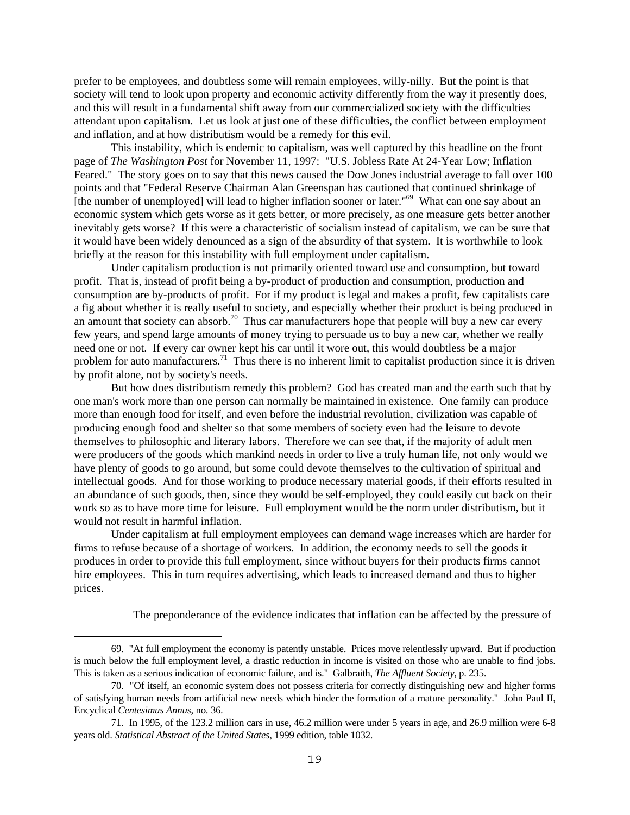prefer to be employees, and doubtless some will remain employees, willy-nilly. But the point is that society will tend to look upon property and economic activity differently from the way it presently does, and this will result in a fundamental shift away from our commercialized society with the difficulties attendant upon capitalism. Let us look at just one of these difficulties, the conflict between employment and inflation, and at how distributism would be a remedy for this evil.

 This instability, which is endemic to capitalism, was well captured by this headline on the front page of *The Washington Post* for November 11, 1997: "U.S. Jobless Rate At 24-Year Low; Inflation Feared." The story goes on to say that this news caused the Dow Jones industrial average to fall over 100 points and that "Federal Reserve Chairman Alan Greenspan has cautioned that continued shrinkage of [the number of unemployed] will lead to higher inflation sooner or later."69 What can one say about an economic system which gets worse as it gets better, or more precisely, as one measure gets better another inevitably gets worse? If this were a characteristic of socialism instead of capitalism, we can be sure that it would have been widely denounced as a sign of the absurdity of that system. It is worthwhile to look briefly at the reason for this instability with full employment under capitalism.

 Under capitalism production is not primarily oriented toward use and consumption, but toward profit. That is, instead of profit being a by-product of production and consumption, production and consumption are by-products of profit. For if my product is legal and makes a profit, few capitalists care a fig about whether it is really useful to society, and especially whether their product is being produced in an amount that society can absorb.<sup>70</sup> Thus car manufacturers hope that people will buy a new car every few years, and spend large amounts of money trying to persuade us to buy a new car, whether we really need one or not. If every car owner kept his car until it wore out, this would doubtless be a major problem for auto manufacturers.<sup>71</sup> Thus there is no inherent limit to capitalist production since it is driven by profit alone, not by society's needs.

 But how does distributism remedy this problem? God has created man and the earth such that by one man's work more than one person can normally be maintained in existence. One family can produce more than enough food for itself, and even before the industrial revolution, civilization was capable of producing enough food and shelter so that some members of society even had the leisure to devote themselves to philosophic and literary labors. Therefore we can see that, if the majority of adult men were producers of the goods which mankind needs in order to live a truly human life, not only would we have plenty of goods to go around, but some could devote themselves to the cultivation of spiritual and intellectual goods. And for those working to produce necessary material goods, if their efforts resulted in an abundance of such goods, then, since they would be self-employed, they could easily cut back on their work so as to have more time for leisure. Full employment would be the norm under distributism, but it would not result in harmful inflation.

 Under capitalism at full employment employees can demand wage increases which are harder for firms to refuse because of a shortage of workers. In addition, the economy needs to sell the goods it produces in order to provide this full employment, since without buyers for their products firms cannot hire employees. This in turn requires advertising, which leads to increased demand and thus to higher prices.

The preponderance of the evidence indicates that inflation can be affected by the pressure of

 <sup>69. &</sup>quot;At full employment the economy is patently unstable. Prices move relentlessly upward. But if production is much below the full employment level, a drastic reduction in income is visited on those who are unable to find jobs. This is taken as a serious indication of economic failure, and is." Galbraith, *The Affluent Society*, p. 235.

 <sup>70. &</sup>quot;Of itself, an economic system does not possess criteria for correctly distinguishing new and higher forms of satisfying human needs from artificial new needs which hinder the formation of a mature personality." John Paul II, Encyclical *Centesimus Annus*, no. 36.

 <sup>71.</sup> In 1995, of the 123.2 million cars in use, 46.2 million were under 5 years in age, and 26.9 million were 6-8 years old. *Statistical Abstract of the United States*, 1999 edition, table 1032.